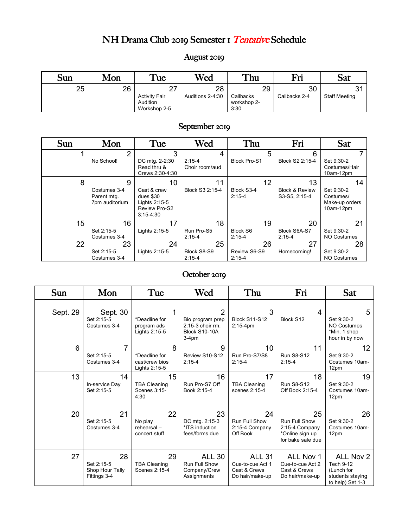# NH Drama Club 2019 Semester 1 Tentative Schedule

### August 2019

| Sun | Mon | $T_{\text{ue}}$      | Wed              | <b>Thu</b>  | Fri           | Sat                  |
|-----|-----|----------------------|------------------|-------------|---------------|----------------------|
| 25  | 26  | っっ                   | 28               | 29          | 30            |                      |
|     |     | <b>Activity Fair</b> | Auditions 2-4:30 | Callbacks   | Callbacks 2-4 | <b>Staff Meeting</b> |
|     |     | Audition             |                  | workshop 2- |               |                      |
|     |     | Workshop 2-5         |                  | 3:30        |               |                      |

#### September 2019

| <b>Sun</b> | Mon                                                | Tue                                                                                      | Wed                        | Thu                          | Fri                                              | Sat                                                          |
|------------|----------------------------------------------------|------------------------------------------------------------------------------------------|----------------------------|------------------------------|--------------------------------------------------|--------------------------------------------------------------|
|            | $\overline{2}$                                     | 3                                                                                        | 4                          | 5                            | 6                                                |                                                              |
|            | No School!                                         | DC mtg. 2-2:30<br>Read thru &<br>Crews 2:30-4:30                                         | $2:15-4$<br>Choir room/aud | <b>Block Pro-S1</b>          | Block S2 2:15-4                                  | Set 9:30-2<br>Costumes/Hair<br>10am-12pm                     |
| 8          | 9<br>Costumes 3-4<br>Parent mtg.<br>7pm auditorium | 10<br>Cast & crew<br>dues \$30<br>Lights 2:15-5<br><b>Review Pro-S2</b><br>$3:15 - 4:30$ | 11<br>Block S3 2:15-4      | 12<br>Block S3-4<br>$2:15-4$ | 13<br><b>Block &amp; Review</b><br>S3-S5, 2:15-4 | 14<br>Set 9:30-2<br>Costumes/<br>Make-up orders<br>10am-12pm |
| 15         | 16                                                 | 17                                                                                       | 18                         | 19                           | 20                                               | 21                                                           |
|            | Set 2:15-5<br>Costumes 3-4                         | Lights 2:15-5                                                                            | Run Pro-S5<br>$2:15-4$     | Block S6<br>$2:15 - 4$       | Block S6A-S7<br>$2:15 - 4$                       | Set 9:30-2<br><b>NO Costumes</b>                             |
| 22         | 23                                                 | 24                                                                                       | 25                         | 26                           | 27                                               | 28                                                           |
|            | Set 2:15-5                                         | Lights 2:15-5                                                                            | Block S8-S9                | Review S6-S9                 | Homecoming!                                      | Set 9:30-2                                                   |
|            | Costumes 3-4                                       |                                                                                          | $2:15-4$                   | $2:15 - 4$                   |                                                  | <b>NO Costumes</b>                                           |

### October 2019

| Sun      | Mon                                                 | Tue                                                   | Wed                                                                                | Thu                                                                  | Fri                                                                           | Sat                                                                          |
|----------|-----------------------------------------------------|-------------------------------------------------------|------------------------------------------------------------------------------------|----------------------------------------------------------------------|-------------------------------------------------------------------------------|------------------------------------------------------------------------------|
| Sept. 29 | Sept. 30<br>Set 2:15-5<br>Costumes 3-4              | *Deadline for<br>program ads<br>Lights 2:15-5         | $\overline{2}$<br>Bio program prep<br>2:15-3 choir rm.<br>Block S10-10A<br>$3-4pm$ | 3<br><b>Block S11-S12</b><br>$2:15-4pm$                              | 4<br>Block S12                                                                | 5<br>Set 9:30-2<br><b>NO Costumes</b><br>*Min. 1 shop<br>hour in by now      |
| 6        | 7<br>Set 2:15-5<br>Costumes 3-4                     | 8<br>*Deadline for<br>cast/crew bios<br>Lights 2:15-5 | 9<br>Review S10-S12<br>$2:15 - 4$                                                  | 10 <sup>°</sup><br>Run Pro-S7/S8<br>$2:15-4$                         | 11<br><b>Run S8-S12</b><br>$2:15-4$                                           | 12<br>Set 9:30-2<br>Costumes 10am-<br>12pm                                   |
| 13       | 14<br>In-service Day<br>Set 2:15-5                  | 15<br><b>TBA Cleaning</b><br>Scenes 3:15-<br>4:30     | 16<br>Run Pro-S7 Off<br>Book 2:15-4                                                | 17<br><b>TBA Cleaning</b><br>scenes 2:15-4                           | 18<br><b>Run S8-S12</b><br>Off Book 2:15-4                                    | 19<br>Set 9:30-2<br>Costumes 10am-<br>12pm                                   |
| 20       | 21<br>Set 2:15-5<br>Costumes 3-4                    | 22<br>No play<br>rehearsal-<br>concert stuff          | 23<br>DC mtg. 2:15-3<br>*ITS induction<br>fees/forms due                           | 24<br>Run Full Show<br>2:15-4 Company<br>Off Book                    | 25<br>Run Full Show<br>2:15-4 Company<br>*Online sign up<br>for bake sale due | 26<br>Set 9:30-2<br>Costumes 10am-<br>12pm                                   |
| 27       | 28<br>Set 2:15-5<br>Shop Hour Tally<br>Fittings 3-4 | 29<br><b>TBA Cleaning</b><br>Scenes 2:15-4            | <b>ALL 30</b><br><b>Run Full Show</b><br>Company/Crew<br>Assignments               | <b>ALL 31</b><br>Cue-to-cue Act 1<br>Cast & Crews<br>Do hair/make-up | ALL Nov 1<br>Cue-to-cue Act 2<br>Cast & Crews<br>Do hair/make-up              | ALL Nov 2<br>Tech 9-12<br>(Lunch for<br>students staying<br>to help) Set 1-3 |